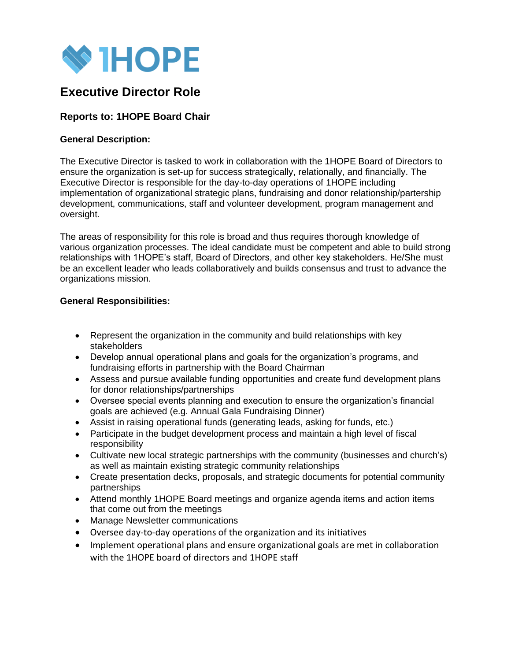

# **Executive Director Role**

# **Reports to: 1HOPE Board Chair**

## **General Description:**

The Executive Director is tasked to work in collaboration with the 1HOPE Board of Directors to ensure the organization is set-up for success strategically, relationally, and financially. The Executive Director is responsible for the day-to-day operations of 1HOPE including implementation of organizational strategic plans, fundraising and donor relationship/partership development, communications, staff and volunteer development, program management and oversight.

The areas of responsibility for this role is broad and thus requires thorough knowledge of various organization processes. The ideal candidate must be competent and able to build strong relationships with 1HOPE's staff, Board of Directors, and other key stakeholders. He/She must be an excellent leader who leads collaboratively and builds consensus and trust to advance the organizations mission.

### **General Responsibilities:**

- Represent the organization in the community and build relationships with key stakeholders
- Develop annual operational plans and goals for the organization's programs, and fundraising efforts in partnership with the Board Chairman
- Assess and pursue available funding opportunities and create fund development plans for donor relationships/partnerships
- Oversee special events planning and execution to ensure the organization's financial goals are achieved (e.g. Annual Gala Fundraising Dinner)
- Assist in raising operational funds (generating leads, asking for funds, etc.)
- Participate in the budget development process and maintain a high level of fiscal responsibility
- Cultivate new local strategic partnerships with the community (businesses and church's) as well as maintain existing strategic community relationships
- Create presentation decks, proposals, and strategic documents for potential community partnerships
- Attend monthly 1HOPE Board meetings and organize agenda items and action items that come out from the meetings
- Manage Newsletter communications
- Oversee day-to-day operations of the organization and its initiatives
- Implement operational plans and ensure organizational goals are met in collaboration with the 1HOPE board of directors and 1HOPE staff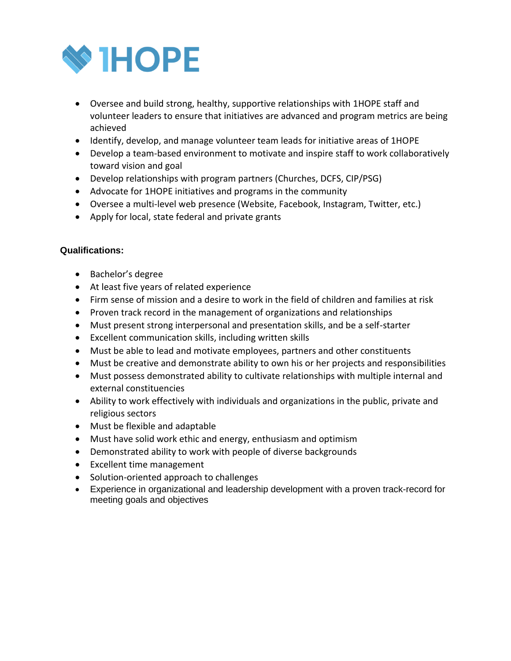

- Oversee and build strong, healthy, supportive relationships with 1HOPE staff and volunteer leaders to ensure that initiatives are advanced and program metrics are being achieved
- Identify, develop, and manage volunteer team leads for initiative areas of 1HOPE
- Develop a team-based environment to motivate and inspire staff to work collaboratively toward vision and goal
- Develop relationships with program partners (Churches, DCFS, CIP/PSG)
- Advocate for 1HOPE initiatives and programs in the community
- Oversee a multi-level web presence (Website, Facebook, Instagram, Twitter, etc.)
- Apply for local, state federal and private grants

# **Qualifications:**

- Bachelor's degree
- At least five years of related experience
- Firm sense of mission and a desire to work in the field of children and families at risk
- Proven track record in the management of organizations and relationships
- Must present strong interpersonal and presentation skills, and be a self-starter
- Excellent communication skills, including written skills
- Must be able to lead and motivate employees, partners and other constituents
- Must be creative and demonstrate ability to own his or her projects and responsibilities
- Must possess demonstrated ability to cultivate relationships with multiple internal and external constituencies
- Ability to work effectively with individuals and organizations in the public, private and religious sectors
- Must be flexible and adaptable
- Must have solid work ethic and energy, enthusiasm and optimism
- Demonstrated ability to work with people of diverse backgrounds
- Excellent time management
- Solution-oriented approach to challenges
- Experience in organizational and leadership development with a proven track-record for meeting goals and objectives